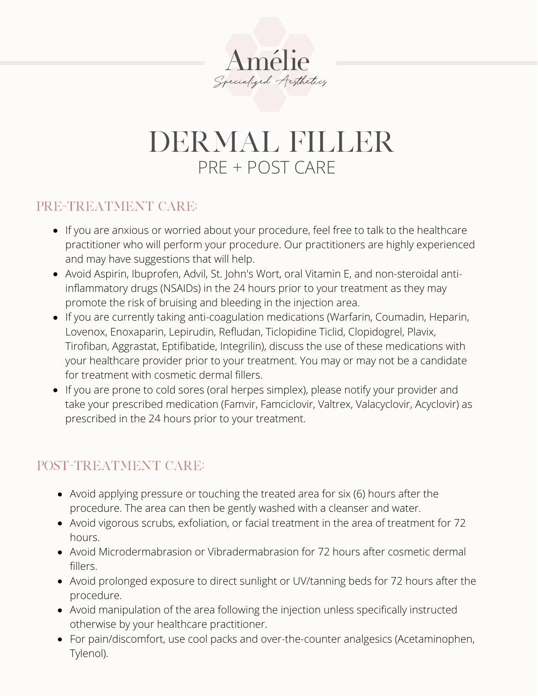

## DERMAL FILLER PRE + POST CARE

#### PRE-TREATMENT CARE:

- If you are anxious or worried about your procedure, feel free to talk to the healthcare practitioner who will perform your procedure. Our practitioners are highly experienced and may have suggestions that will help.
- Avoid Aspirin, Ibuprofen, Advil, St. John's Wort, oral Vitamin E, and non-steroidal antiinflammatory drugs (NSAIDs) in the 24 hours prior to your treatment as they may promote the risk of bruising and bleeding in the injection area.
- If you are currently taking anti-coagulation medications (Warfarin, Coumadin, Heparin, Lovenox, Enoxaparin, Lepirudin, Refludan, Ticlopidine Ticlid, Clopidogrel, Plavix, Tirofiban, Aggrastat, Eptifibatide, Integrilin), discuss the use of these medications with your healthcare provider prior to your treatment. You may or may not be a candidate for treatment with cosmetic dermal fillers.
- If you are prone to cold sores (oral herpes simplex), please notify your provider and take your prescribed medication (Famvir, Famciclovir, Valtrex, Valacyclovir, Acyclovir) as prescribed in the 24 hours prior to your treatment.

### POST-TREATMENT CARE:

- Avoid applying pressure or touching the treated area for six (6) hours after the procedure. The area can then be gently washed with a cleanser and water.
- Avoid vigorous scrubs, exfoliation, or facial treatment in the area of treatment for 72 hours.
- Avoid Microdermabrasion or Vibradermabrasion for 72 hours after cosmetic dermal fillers.
- Avoid prolonged exposure to direct sunlight or UV/tanning beds for 72 hours after the procedure.
- Avoid manipulation of the area following the injection unless specifically instructed otherwise by your healthcare practitioner.
- For pain/discomfort, use cool packs and over-the-counter analgesics (Acetaminophen, Tylenol).